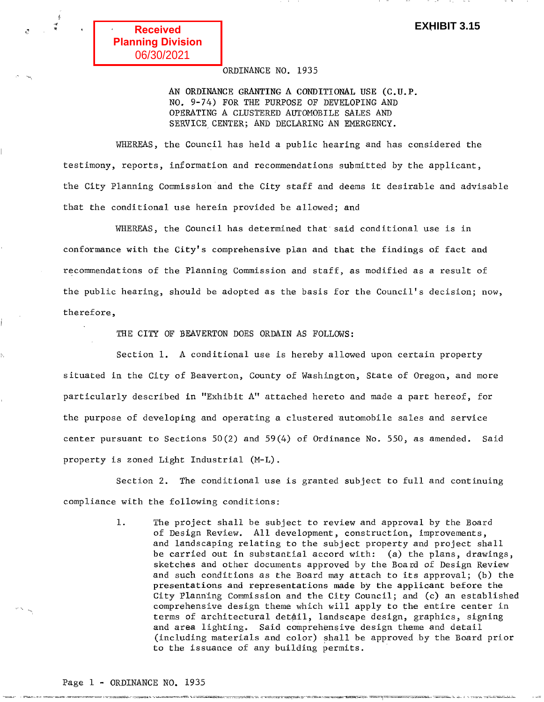'i~

~ ..

# ORDINANCE NO. 1935

AN ORDINANCE GRANTING A CONDITIONAL USE (C.U.P. NO. 9-74) FOR THE PURPOSE OF DEVELOPING AND OPERATING A CLUSTERED AUTOMOBILE SALES AND SERVICE CENTER; AND DECLARING AN EMERGENCY.

WHEREAS, the Council has held a public hearing and has considered the testimony, reports, information and recommendations submitted by the applicant, the City Planning Commission and the City staff and deems it desirable and advisable that the conditional use herein provided be allowed; and

WHEREAS, the Council has determined that said conditional use is in conformance with the City's comprehensive plan and that the findings of fact and recommendations of the Planning Commission and staff, as modified as a result of the public hearing, should be adopted as the basis for the Council's decision; now, therefore,

THE CITY OF BEAVERTON DOES ORDAIN AS FOLLOWS:

ITARA MOLANI SEREPER KI TIJIKOL TIJIKOR ALAKSEKA PLIKUKONA ATAI JAKOK TA TILIKO ARABA TILIKOR ALAKSI TILIKOR ALAKSI

Section 1. A conditional use is hereby allowed upon certain property situated in the City of Beaverton, County of Washington, State of Oregon, and more particularly described in "Exhibit A" attached hereto and made a part hereof, for the purpose of developing and operating a clustered automobile sales and service center pursuant to Sections  $50(2)$  and  $59(4)$  of Ordinance No. 550, as amended. Said property is zoned Light Industrial (M-L).

Section 2. The conditional use is granted subject to full and continuing compliance with the following conditions:

> 1. The project shall be subject to review and approval by the Board of Design Review. All development, construction, improvements, and landscaping relating to the subject property and project shall be carried out in substantial accord with: (a) the plans, drawings, sketches and other documents approved by the Board of Design Review and such conditions as the Board may attach to its approval; (b) the presentations and representations made by the applicant before the City Planning Commission and the City Council; and (c) an established comprehensive design theme which will apply to the entire center in terms of architectural detail, landscape design, graphics, signing and area lighting. Said comprehensive design theme and detail (including materials and color) shall be approved by the Board prior to the issuance of any building permits.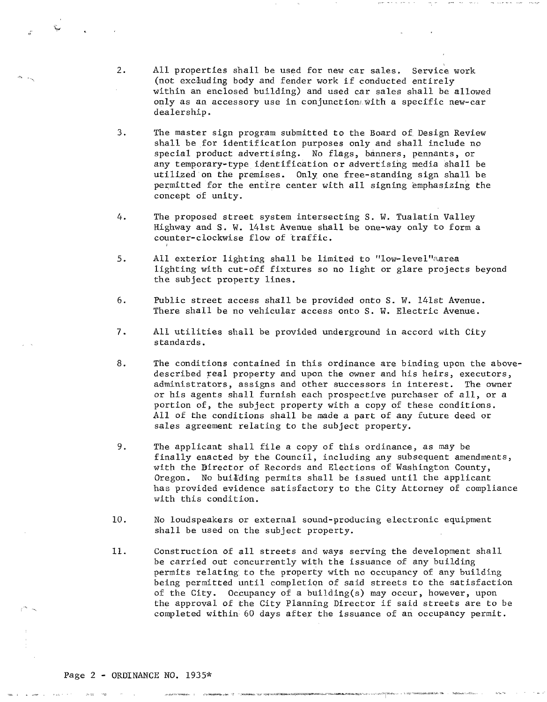2. All properties shall be used for new car sales. Service work (not excluding body and fender work if conducted entirely within an enclosed building) and used car sales shall be allowed only as an accessory use in conjunction, with a specific new-car dealership.

"

- 3. The master sign program submitted to the Board of Design Review shall be for identification purposes only and shall include no special product advertising. No flags, banners, pennants, or any temporary-type identification or advertising media shall be utilized on the premises. Only one free-standing sign shall be permitted for the entire center with all signing emphasizing the concept of unity.
- 4. The proposed street system intersecting S. W. Tualatin Valley Highway and S. W. l4lst Avenue shall be one-way only to form a counter-clockwise flow of traffic.
- 5. All exterior lighting shall be limited to "low-level"aarea lighting with cut-off fixtures so no light or glare projects beyond the subject property lines.
- 6. Public street access shall be provided onto S. W. l4lst Avenue. There shall be no vehicular access onto S. W. Electric Avenue.
- 7. All utilities shall be provided underground in accord with City standards.
- 8. The conditions contained in this ordinance are binding upon the abovedescribed real property and upon the owner and his heirs, executors, administrators, assigns and other successors in interest. The owner or his agents shall furnish each prospective purchaser of all, or a portion of, the subject property with a copy of these conditions. All of the conditions shall be made a part of any future deed or sales agreement relating to the subject property.
- 9. The applicant shall file a copy of this ordinance, as may be finally enacted by the Council, including any subsequent amendments, with the Director of Records and Elections of Washington County, Oregon. No building permits shall be issued until the applicant has provided evidence satisfactory to the City Attorney of compliance with this condition.
- 10. No loudspeakers or external sound-producing electronic equipment shall be used on the subject property.
- 11. Construction of all streets and ways serving the development shall be carried out concurrently with the issuance of any building permits relating to the property with no occupancy of any building being permitted until completiqn of said streets to the satisfaction of the City. Occupancy of a building(s) may occur, however, upon the approval of the City Planning Director if said streets are to be completed within 60 days after the issuance of an occupancy permit.

 $-7.744669949_{\mu=0}$   $\mu=2.44$  ,  $-7.7$   $-7.7666769_{\mu=0}$  . The  $-7.77$ 

,;:

~<br>~

,~ "~\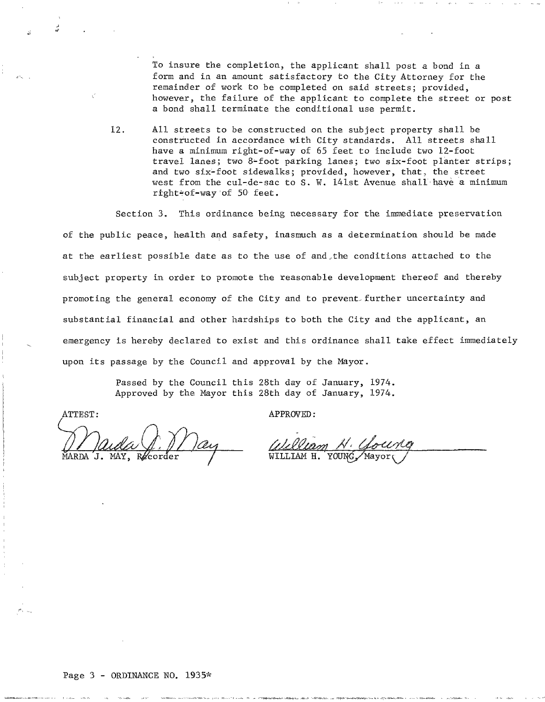To insure the completion, the applicant shall post a bond in a form and in an amount satisfactory to the City Attorney for the remainder of work to be completed on said streets; provided, however, the failure of the applicant to complete the street or post a bond shall terminate the conditional use permit.

12. All streets to be constructed on the subject property shall be constructed in accordance with City standards. All streets shall have a minimum right-of-way of 65 feet to include two 12-foot travel lanes; two 8-foot parking lanes; two six-foot planter strips; and two six-foot sidewalks; provided, however, that, the street west from the cul-de-sac to S. W. 141st Avenue shall have a minimum right#of-way'of 50 feet.

Section 3. This ordinance being necessary for the immediate preservation

of the public peace, health and safety, inasmuch as a determination should be made at the earliest possible date as to the use of and.the conditions attached to the subject property in order to promote the reasonable development thereof and thereby promoting the general economy of the City and to prevent-further uncertainty and substantial financial and other hardships to both the City and the applicant, an emergency is hereby declared to exist and this ordinance shall take effect immediately upon its passage by the Council and approval by the Mayor.

> Passed by the Council this 28th day of January, 1974. Approved by the Mayor this 28th day of January, 1974.

;,'

 $\epsilon\geq-\epsilon$ 

~ ,.,

 $\mathbf{I}$ . MAY.

ATTEST: APPROVED:

tt\_ "0-" \_ \_~ -= .-- r""1f'I"~1~~,.>l. '"f""--<- -\_rr.:;-""".,.=\_ ,... ~~fl'.-~~ ',~~",," ~TI~~~~-"~"

William N. Goung *WILLIAM N · Gollin*<br>WILLIAM H. YOUNG, Mayor